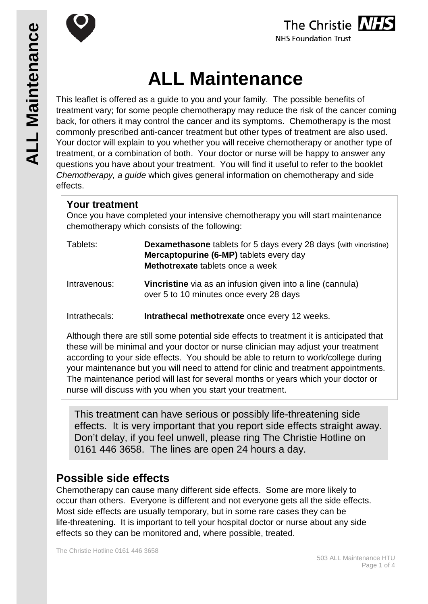



# **ALL Maintenance**

This leaflet is offered as a guide to you and your family. The possible benefits of treatment vary; for some people chemotherapy may reduce the risk of the cancer coming back, for others it may control the cancer and its symptoms. Chemotherapy is the most commonly prescribed anti-cancer treatment but other types of treatment are also used. Your doctor will explain to you whether you will receive chemotherapy or another type of treatment, or a combination of both. Your doctor or nurse will be happy to answer any questions you have about your treatment. You will find it useful to refer to the booklet *Chemotherapy, a guide* which gives general information on chemotherapy and side effects.

## **Your treatment**

Once you have completed your intensive chemotherapy you will start maintenance chemotherapy which consists of the following:

| Tablets:     | <b>Dexamethasone</b> tablets for 5 days every 28 days (with vincristine) |
|--------------|--------------------------------------------------------------------------|
|              | <b>Mercaptopurine (6-MP)</b> tablets every day                           |
|              | <b>Methotrexate</b> tablets once a week                                  |
| Intravannier | Vincristing via as an infusion given into a line (cannula)               |

Intravenous: **Vincristine** via as an infusion given into a line (cannula) over 5 to 10 minutes once every 28 days

Intrathecals: **Intrathecal methotrexate** once every 12 weeks.

Although there are still some potential side effects to treatment it is anticipated that these will be minimal and your doctor or nurse clinician may adjust your treatment according to your side effects. You should be able to return to work/college during your maintenance but you will need to attend for clinic and treatment appointments. The maintenance period will last for several months or years which your doctor or nurse will discuss with you when you start your treatment.

This treatment can have serious or possibly life-threatening side effects. It is very important that you report side effects straight away. Don't delay, if you feel unwell, please ring The Christie Hotline on 0161 446 3658. The lines are open 24 hours a day.

# **Possible side effects**

Chemotherapy can cause many different side effects. Some are more likely to occur than others. Everyone is different and not everyone gets all the side effects. Most side effects are usually temporary, but in some rare cases they can be life-threatening. It is important to tell your hospital doctor or nurse about any side effects so they can be monitored and, where possible, treated.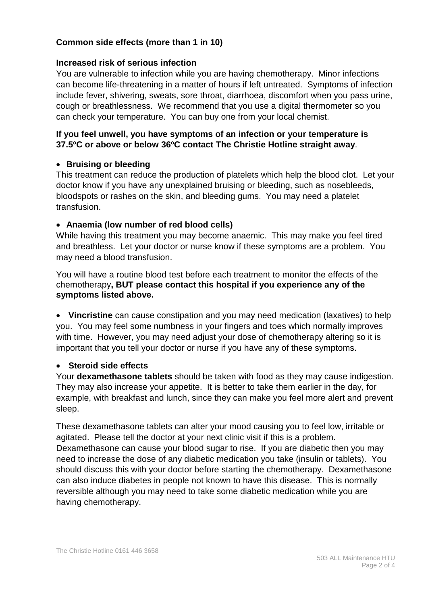#### **Common side effects (more than 1 in 10)**

#### **Increased risk of serious infection**

You are vulnerable to infection while you are having chemotherapy. Minor infections can become life-threatening in a matter of hours if left untreated. Symptoms of infection include fever, shivering, sweats, sore throat, diarrhoea, discomfort when you pass urine, cough or breathlessness. We recommend that you use a digital thermometer so you can check your temperature. You can buy one from your local chemist.

#### **If you feel unwell, you have symptoms of an infection or your temperature is 37.5ºC or above or below 36ºC contact The Christie Hotline straight away**.

#### • **Bruising or bleeding**

This treatment can reduce the production of platelets which help the blood clot. Let your doctor know if you have any unexplained bruising or bleeding, such as nosebleeds, bloodspots or rashes on the skin, and bleeding gums. You may need a platelet transfusion.

#### • **Anaemia (low number of red blood cells)**

While having this treatment you may become anaemic. This may make you feel tired and breathless. Let your doctor or nurse know if these symptoms are a problem. You may need a blood transfusion.

You will have a routine blood test before each treatment to monitor the effects of the chemotherapy**, BUT please contact this hospital if you experience any of the symptoms listed above.**

• **Vincristine** can cause constipation and you may need medication (laxatives) to help you. You may feel some numbness in your fingers and toes which normally improves with time. However, you may need adjust your dose of chemotherapy altering so it is important that you tell your doctor or nurse if you have any of these symptoms.

#### • **Steroid side effects**

Your **dexamethasone tablets** should be taken with food as they may cause indigestion. They may also increase your appetite. It is better to take them earlier in the day, for example, with breakfast and lunch, since they can make you feel more alert and prevent sleep.

These dexamethasone tablets can alter your mood causing you to feel low, irritable or agitated. Please tell the doctor at your next clinic visit if this is a problem. Dexamethasone can cause your blood sugar to rise. If you are diabetic then you may need to increase the dose of any diabetic medication you take (insulin or tablets). You should discuss this with your doctor before starting the chemotherapy. Dexamethasone can also induce diabetes in people not known to have this disease. This is normally reversible although you may need to take some diabetic medication while you are having chemotherapy.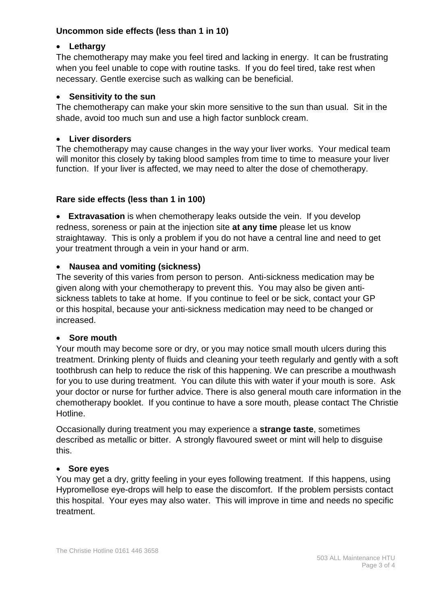#### **Uncommon side effects (less than 1 in 10)**

## • **Lethargy**

The chemotherapy may make you feel tired and lacking in energy. It can be frustrating when you feel unable to cope with routine tasks. If you do feel tired, take rest when necessary. Gentle exercise such as walking can be beneficial.

## • **Sensitivity to the sun**

The chemotherapy can make your skin more sensitive to the sun than usual. Sit in the shade, avoid too much sun and use a high factor sunblock cream.

## • **Liver disorders**

The chemotherapy may cause changes in the way your liver works. Your medical team will monitor this closely by taking blood samples from time to time to measure your liver function. If your liver is affected, we may need to alter the dose of chemotherapy.

## **Rare side effects (less than 1 in 100)**

• **Extravasation** is when chemotherapy leaks outside the vein. If you develop redness, soreness or pain at the injection site **at any time** please let us know straightaway. This is only a problem if you do not have a central line and need to get your treatment through a vein in your hand or arm.

## • **Nausea and vomiting (sickness)**

The severity of this varies from person to person. Anti-sickness medication may be given along with your chemotherapy to prevent this. You may also be given antisickness tablets to take at home. If you continue to feel or be sick, contact your GP or this hospital, because your anti-sickness medication may need to be changed or increased.

#### • **Sore mouth**

Your mouth may become sore or dry, or you may notice small mouth ulcers during this treatment. Drinking plenty of fluids and cleaning your teeth regularly and gently with a soft toothbrush can help to reduce the risk of this happening. We can prescribe a mouthwash for you to use during treatment. You can dilute this with water if your mouth is sore. Ask your doctor or nurse for further advice. There is also general mouth care information in the chemotherapy booklet. If you continue to have a sore mouth, please contact The Christie Hotline.

Occasionally during treatment you may experience a **strange taste**, sometimes described as metallic or bitter. A strongly flavoured sweet or mint will help to disguise this.

#### • **Sore eyes**

You may get a dry, gritty feeling in your eyes following treatment. If this happens, using Hypromellose eye-drops will help to ease the discomfort. If the problem persists contact this hospital. Your eyes may also water. This will improve in time and needs no specific treatment.